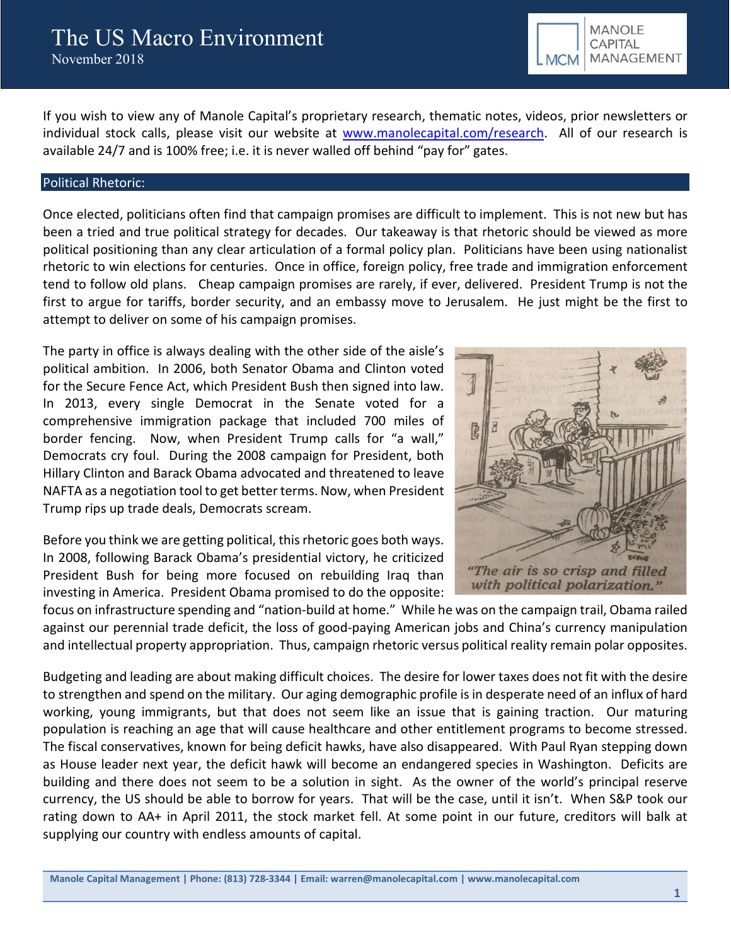

If you wish to view any of Manole Capital's proprietary research, thematic notes, videos, prior newsletters or individual stock calls, please visit our website at [www.manolecapital.com/research.](http://www.manolecapital.com/research) All of our research is available 24/7 and is 100% free; i.e. it is never walled off behind "pay for" gates.

#### Political Rhetoric:

Once elected, politicians often find that campaign promises are difficult to implement. This is not new but has been a tried and true political strategy for decades. Our takeaway is that rhetoric should be viewed as more political positioning than any clear articulation of a formal policy plan. Politicians have been using nationalist rhetoric to win elections for centuries. Once in office, foreign policy, free trade and immigration enforcement tend to follow old plans. Cheap campaign promises are rarely, if ever, delivered. President Trump is not the first to argue for tariffs, border security, and an embassy move to Jerusalem. He just might be the first to attempt to deliver on some of his campaign promises.

The party in office is always dealing with the other side of the aisle's political ambition. In 2006, both Senator Obama and Clinton voted for the Secure Fence Act, which President Bush then signed into law. In 2013, every single Democrat in the Senate voted for a comprehensive immigration package that included 700 miles of border fencing. Now, when President Trump calls for "a wall," Democrats cry foul. During the 2008 campaign for President, both Hillary Clinton and Barack Obama advocated and threatened to leave NAFTA as a negotiation tool to get better terms. Now, when President Trump rips up trade deals, Democrats scream.

Before you think we are getting political, this rhetoric goes both ways. In 2008, following Barack Obama's presidential victory, he criticized President Bush for being more focused on rebuilding Iraq than investing in America. President Obama promised to do the opposite:



focus on infrastructure spending and "nation-build at home." While he was on the campaign trail, Obama railed against our perennial trade deficit, the loss of good-paying American jobs and China's currency manipulation and intellectual property appropriation. Thus, campaign rhetoric versus political reality remain polar opposites.

Budgeting and leading are about making difficult choices. The desire for lower taxes does not fit with the desire to strengthen and spend on the military. Our aging demographic profile is in desperate need of an influx of hard working, young immigrants, but that does not seem like an issue that is gaining traction. Our maturing population is reaching an age that will cause healthcare and other entitlement programs to become stressed. The fiscal conservatives, known for being deficit hawks, have also disappeared. With Paul Ryan stepping down as House leader next year, the deficit hawk will become an endangered species in Washington. Deficits are building and there does not seem to be a solution in sight. As the owner of the world's principal reserve currency, the US should be able to borrow for years. That will be the case, until it isn't. When S&P took our rating down to AA+ in April 2011, the stock market fell. At some point in our future, creditors will balk at supplying our country with endless amounts of capital.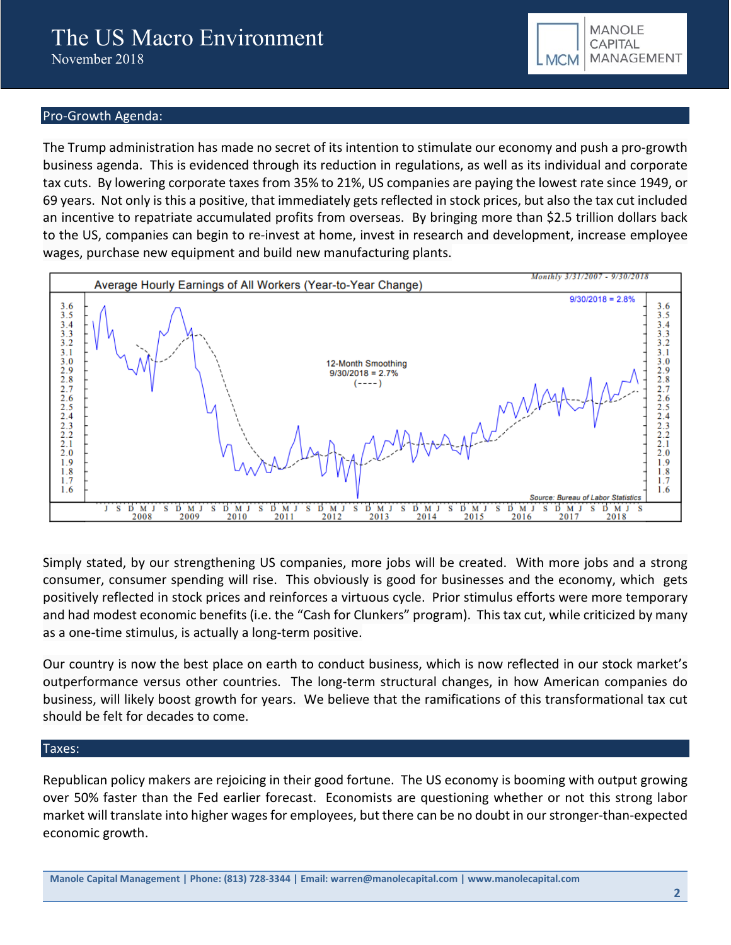

## Pro-Growth Agenda:

The Trump administration has made no secret of its intention to stimulate our economy and push a pro-growth business agenda. This is evidenced through its reduction in regulations, as well as its individual and corporate tax cuts. By lowering corporate taxes from 35% to 21%, US companies are paying the lowest rate since 1949, or 69 years. Not only is this a positive, that immediately gets reflected in stock prices, but also the tax cut included an incentive to repatriate accumulated profits from overseas. By bringing more than \$2.5 trillion dollars back to the US, companies can begin to re-invest at home, invest in research and development, increase employee wages, purchase new equipment and build new manufacturing plants.



Simply stated, by our strengthening US companies, more jobs will be created. With more jobs and a strong consumer, consumer spending will rise. This obviously is good for businesses and the economy, which gets positively reflected in stock prices and reinforces a virtuous cycle. Prior stimulus efforts were more temporary and had modest economic benefits (i.e. the "Cash for Clunkers" program). This tax cut, while criticized by many as a one-time stimulus, is actually a long-term positive.

Our country is now the best place on earth to conduct business, which is now reflected in our stock market's outperformance versus other countries. The long-term structural changes, in how American companies do business, will likely boost growth for years. We believe that the ramifications of this transformational tax cut should be felt for decades to come.

### Taxes:

Republican policy makers are rejoicing in their good fortune. The US economy is booming with output growing over 50% faster than the Fed earlier forecast. Economists are questioning whether or not this strong labor market will translate into higher wages for employees, but there can be no doubt in our stronger-than-expected economic growth.

**Manole Capital Management | Phone: (813) 728-3344 | Email: warren@manolecapital.com | www.manolecapital.com**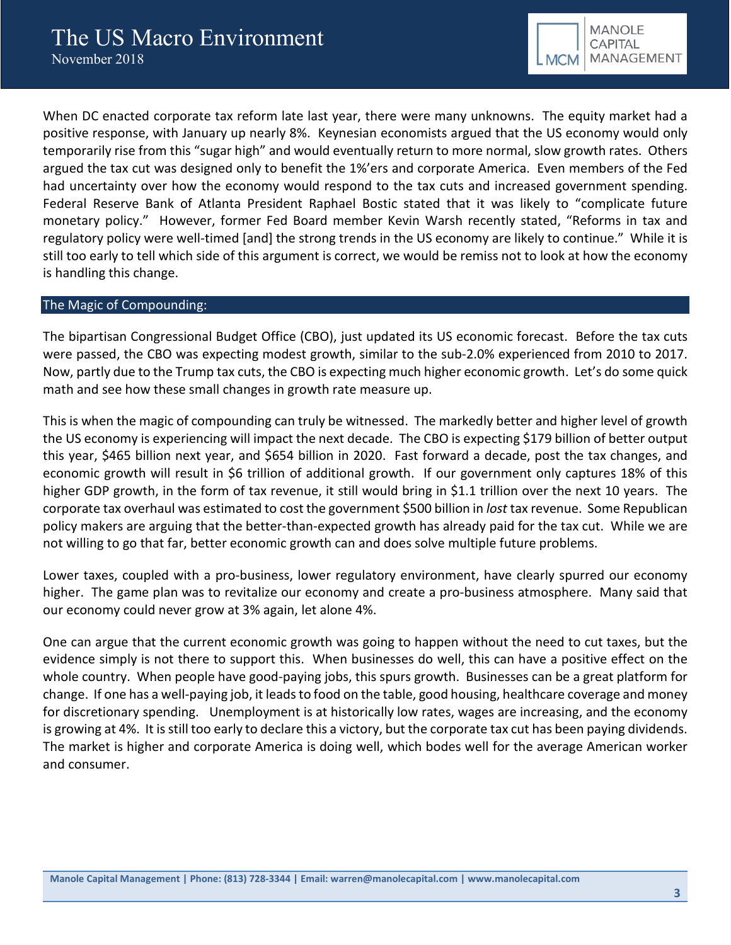

When DC enacted corporate tax reform late last year, there were many unknowns. The equity market had a positive response, with January up nearly 8%. Keynesian economists argued that the US economy would only temporarily rise from this "sugar high" and would eventually return to more normal, slow growth rates. Others argued the tax cut was designed only to benefit the 1%'ers and corporate America. Even members of the Fed had uncertainty over how the economy would respond to the tax cuts and increased government spending. Federal Reserve Bank of Atlanta President Raphael Bostic stated that it was likely to "complicate future monetary policy." However, former Fed Board member Kevin Warsh recently stated, "Reforms in tax and regulatory policy were well-timed [and] the strong trends in the US economy are likely to continue." While it is still too early to tell which side of this argument is correct, we would be remiss not to look at how the economy is handling this change.

#### The Magic of Compounding:

The bipartisan Congressional Budget Office (CBO), just updated its US economic forecast. Before the tax cuts were passed, the CBO was expecting modest growth, similar to the sub-2.0% experienced from 2010 to 2017. Now, partly due to the Trump tax cuts, the CBO is expecting much higher economic growth. Let's do some quick math and see how these small changes in growth rate measure up.

This is when the magic of compounding can truly be witnessed. The markedly better and higher level of growth the US economy is experiencing will impact the next decade. The CBO is expecting \$179 billion of better output this year, \$465 billion next year, and \$654 billion in 2020. Fast forward a decade, post the tax changes, and economic growth will result in \$6 trillion of additional growth. If our government only captures 18% of this higher GDP growth, in the form of tax revenue, it still would bring in \$1.1 trillion over the next 10 years. The corporate tax overhaul was estimated to cost the government \$500 billion in *lost* tax revenue. Some Republican policy makers are arguing that the better-than-expected growth has already paid for the tax cut. While we are not willing to go that far, better economic growth can and does solve multiple future problems.

Lower taxes, coupled with a pro-business, lower regulatory environment, have clearly spurred our economy higher. The game plan was to revitalize our economy and create a pro-business atmosphere. Many said that our economy could never grow at 3% again, let alone 4%.

One can argue that the current economic growth was going to happen without the need to cut taxes, but the evidence simply is not there to support this. When businesses do well, this can have a positive effect on the whole country. When people have good-paying jobs, this spurs growth. Businesses can be a great platform for change. If one has a well-paying job, it leads to food on the table, good housing, healthcare coverage and money for discretionary spending. Unemployment is at historically low rates, wages are increasing, and the economy is growing at 4%. It is still too early to declare this a victory, but the corporate tax cut has been paying dividends. The market is higher and corporate America is doing well, which bodes well for the average American worker and consumer.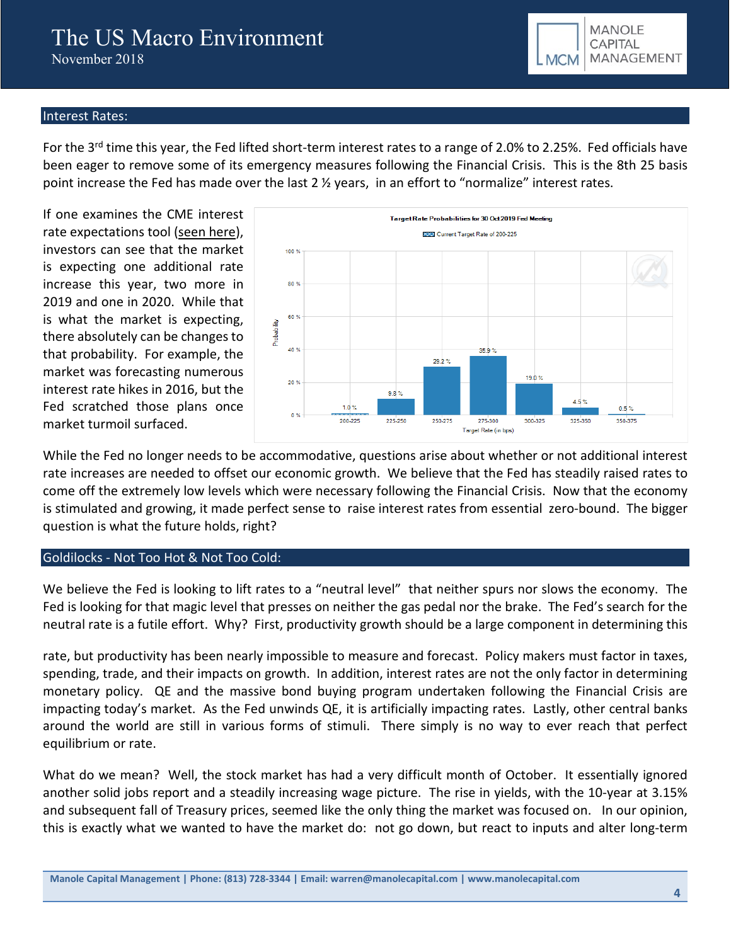# Interest Rates:

For the 3<sup>rd</sup> time this year, the Fed lifted short-term interest rates to a range of 2.0% to 2.25%. Fed officials have been eager to remove some of its emergency measures following the Financial Crisis. This is the 8th 25 basis point increase the Fed has made over the last  $2 \frac{1}{2}$  years, in an effort to "normalize" interest rates.

If one examines the CME interest rate expectations tool [\(seen here\)](https://www.cmegroup.com/trading/interest-rates/countdown-to-fomc.html), investors can see that the market is expecting one additional rate increase this year, two more in 2019 and one in 2020. While that is what the market is expecting, there absolutely can be changes to that probability. For example, the market was forecasting numerous interest rate hikes in 2016, but the Fed scratched those plans once market turmoil surfaced.



**MANOLE** CAPITAL MANAGEMENT

**MCM** 

While the Fed no longer needs to be accommodative, questions arise about whether or not additional interest rate increases are needed to offset our economic growth. We believe that the Fed has steadily raised rates to come off the extremely low levels which were necessary following the Financial Crisis. Now that the economy is stimulated and growing, it made perfect sense to raise interest rates from essential zero-bound. The bigger question is what the future holds, right?

### Goldilocks - Not Too Hot & Not Too Cold:

We believe the Fed is looking to lift rates to a "neutral level" that neither spurs nor slows the economy. The Fed is looking for that magic level that presses on neither the gas pedal nor the brake. The Fed's search for the neutral rate is a futile effort. Why? First, productivity growth should be a large component in determining this

rate, but productivity has been nearly impossible to measure and forecast. Policy makers must factor in taxes, spending, trade, and their impacts on growth. In addition, interest rates are not the only factor in determining monetary policy. QE and the massive bond buying program undertaken following the Financial Crisis are impacting today's market. As the Fed unwinds QE, it is artificially impacting rates. Lastly, other central banks around the world are still in various forms of stimuli. There simply is no way to ever reach that perfect equilibrium or rate.

What do we mean? Well, the stock market has had a very difficult month of October. It essentially ignored another solid jobs report and a steadily increasing wage picture. The rise in yields, with the 10-year at 3.15% and subsequent fall of Treasury prices, seemed like the only thing the market was focused on. In our opinion, this is exactly what we wanted to have the market do: not go down, but react to inputs and alter long-term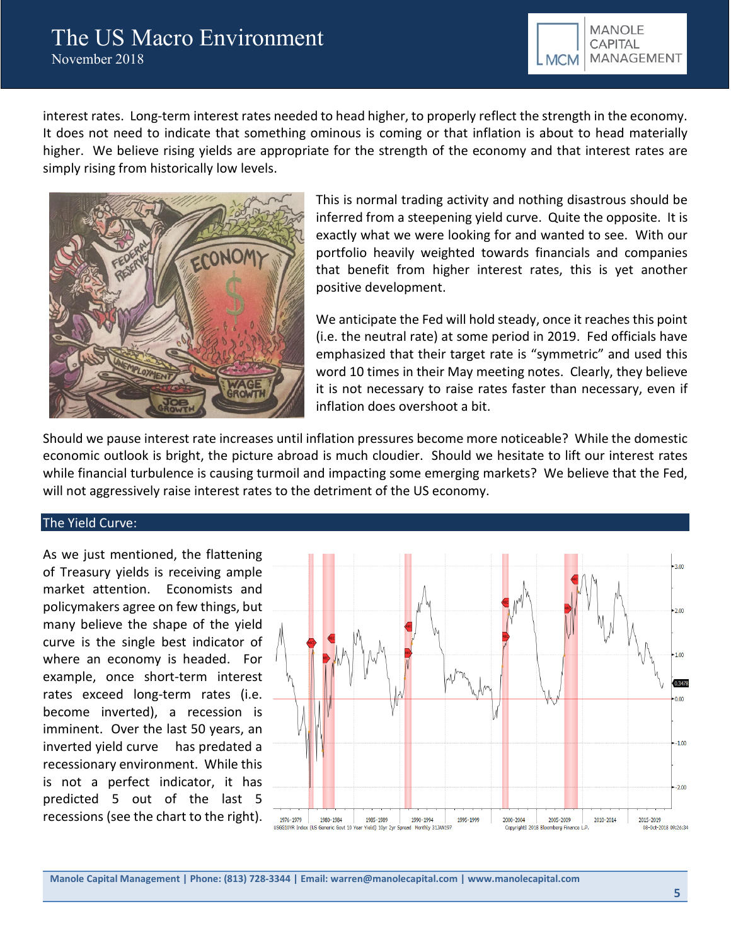

interest rates. Long-term interest rates needed to head higher, to properly reflect the strength in the economy. It does not need to indicate that something ominous is coming or that inflation is about to head materially higher. We believe rising yields are appropriate for the strength of the economy and that interest rates are simply rising from historically low levels.



This is normal trading activity and nothing disastrous should be inferred from a steepening yield curve. Quite the opposite. It is exactly what we were looking for and wanted to see. With our portfolio heavily weighted towards financials and companies that benefit from higher interest rates, this is yet another positive development.

We anticipate the Fed will hold steady, once it reaches this point (i.e. the neutral rate) at some period in 2019. Fed officials have emphasized that their target rate is "symmetric" and used this word 10 times in their May meeting notes. Clearly, they believe it is not necessary to raise rates faster than necessary, even if inflation does overshoot a bit.

Should we pause interest rate increases until inflation pressures become more noticeable? While the domestic economic outlook is bright, the picture abroad is much cloudier. Should we hesitate to lift our interest rates while financial turbulence is causing turmoil and impacting some emerging markets? We believe that the Fed, will not aggressively raise interest rates to the detriment of the US economy.

### The Yield Curve:

As we just mentioned, the flattening of Treasury yields is receiving ample market attention. Economists and policymakers agree on few things, but many believe the shape of the yield curve is the single best indicator of where an economy is headed. For example, once short-term interest rates exceed long-term rates (i.e. become inverted), a recession is imminent. Over the last 50 years, an inverted yield curve has predated a recessionary environment. While this is not a perfect indicator, it has predicted 5 out of the last 5 recessions (see the chart to the right).



**Manole Capital Management | Phone: (813) 728-3344 | Email: warren@manolecapital.com | www.manolecapital.com**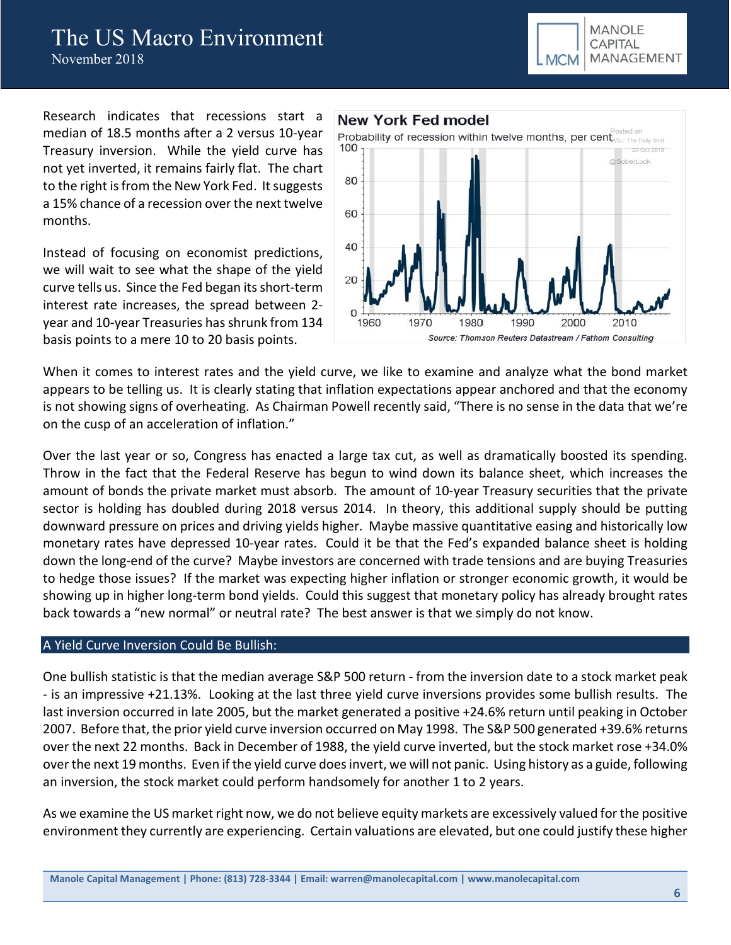

Research indicates that recessions start a median of 18.5 months after a 2 versus 10-year Treasury inversion. While the yield curve has not yet inverted, it remains fairly flat. The chart to the right is from the New York Fed. It suggests a 15% chance of a recession over the next twelve months.

Instead of focusing on economist predictions, we will wait to see what the shape of the yield curve tells us. Since the Fed began its short-term interest rate increases, the spread between 2 year and 10-year Treasuries has shrunk from 134 basis points to a mere 10 to 20 basis points.



When it comes to interest rates and the yield curve, we like to examine and analyze what the bond market appears to be telling us. It is clearly stating that inflation expectations appear anchored and that the economy is not showing signs of overheating. As Chairman Powell recently said, "There is no sense in the data that we're on the cusp of an acceleration of inflation."

Over the last year or so, Congress has enacted a large tax cut, as well as dramatically boosted its spending. Throw in the fact that the Federal Reserve has begun to wind down its balance sheet, which increases the amount of bonds the private market must absorb. The amount of 10-year Treasury securities that the private sector is holding has doubled during 2018 versus 2014. In theory, this additional supply should be putting downward pressure on prices and driving yields higher. Maybe massive quantitative easing and historically low monetary rates have depressed 10-year rates. Could it be that the Fed's expanded balance sheet is holding down the long-end of the curve? Maybe investors are concerned with trade tensions and are buying Treasuries to hedge those issues? If the market was expecting higher inflation or stronger economic growth, it would be showing up in higher long-term bond yields. Could this suggest that monetary policy has already brought rates back towards a "new normal" or neutral rate? The best answer is that we simply do not know.

### A Yield Curve Inversion Could Be Bullish:

One bullish statistic is that the median average S&P 500 return - from the inversion date to a stock market peak - is an impressive +21.13%. Looking at the last three yield curve inversions provides some bullish results. The last inversion occurred in late 2005, but the market generated a positive +24.6% return until peaking in October 2007. Before that, the prior yield curve inversion occurred on May 1998. The S&P 500 generated +39.6% returns over the next 22 months. Back in December of 1988, the yield curve inverted, but the stock market rose +34.0% over the next 19 months. Even if the yield curve does invert, we will not panic. Using history as a guide, following an inversion, the stock market could perform handsomely for another 1 to 2 years.

As we examine the US market right now, we do not believe equity markets are excessively valued for the positive environment they currently are experiencing. Certain valuations are elevated, but one could justify these higher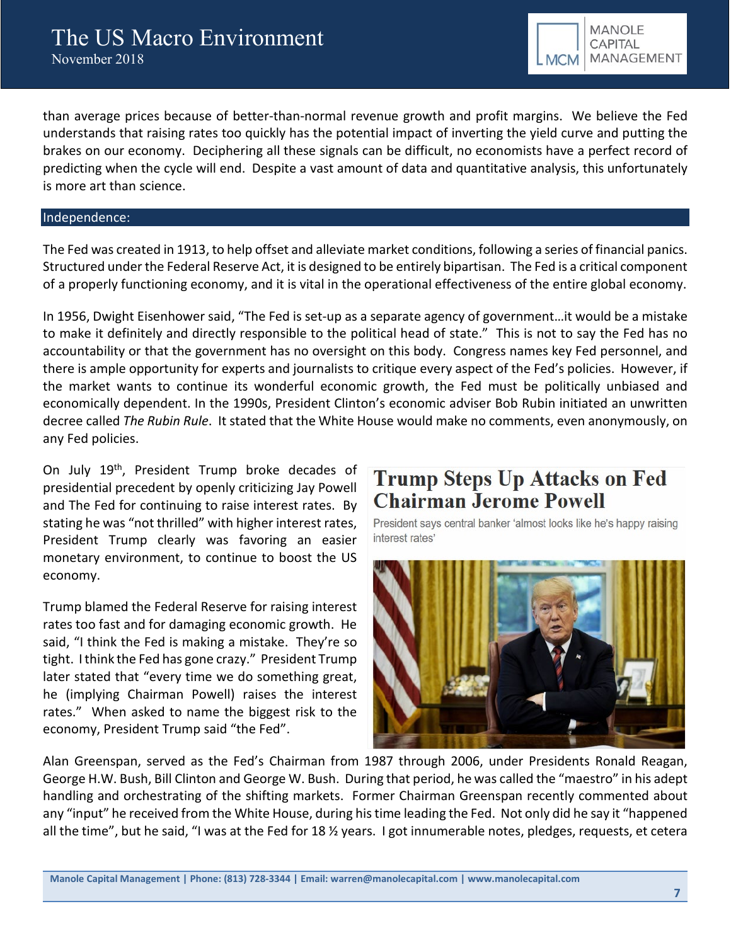than average prices because of better-than-normal revenue growth and profit margins. We believe the Fed understands that raising rates too quickly has the potential impact of inverting the yield curve and putting the brakes on our economy. Deciphering all these signals can be difficult, no economists have a perfect record of predicting when the cycle will end. Despite a vast amount of data and quantitative analysis, this unfortunately is more art than science.

#### Independence:

The Fed was created in 1913, to help offset and alleviate market conditions, following a series of financial panics. Structured under the Federal Reserve Act, it is designed to be entirely bipartisan. The Fed is a critical component of a properly functioning economy, and it is vital in the operational effectiveness of the entire global economy.

In 1956, Dwight Eisenhower said, "The Fed is set-up as a separate agency of government…it would be a mistake to make it definitely and directly responsible to the political head of state." This is not to say the Fed has no accountability or that the government has no oversight on this body. Congress names key Fed personnel, and there is ample opportunity for experts and journalists to critique every aspect of the Fed's policies. However, if the market wants to continue its wonderful economic growth, the Fed must be politically unbiased and economically dependent. In the 1990s, President Clinton's economic adviser Bob Rubin initiated an unwritten decree called *The Rubin Rule*. It stated that the White House would make no comments, even anonymously, on any Fed policies.

On July 19th, President Trump broke decades of presidential precedent by openly criticizing Jay Powell and The Fed for continuing to raise interest rates. By stating he was "not thrilled" with higher interest rates, President Trump clearly was favoring an easier monetary environment, to continue to boost the US economy.

Trump blamed the Federal Reserve for raising interest rates too fast and for damaging economic growth. He said, "I think the Fed is making a mistake. They're so tight. I think the Fed has gone crazy." President Trump later stated that "every time we do something great, he (implying Chairman Powell) raises the interest rates." When asked to name the biggest risk to the economy, President Trump said "the Fed".

# **Trump Steps Up Attacks on Fed Chairman Jerome Powell**

President says central banker 'almost looks like he's happy raising interest rates'



Alan Greenspan, served as the Fed's Chairman from 1987 through 2006, under Presidents Ronald Reagan, George H.W. Bush, Bill Clinton and George W. Bush. During that period, he was called the "maestro" in his adept handling and orchestrating of the shifting markets. Former Chairman Greenspan recently commented about any "input" he received from the White House, during his time leading the Fed. Not only did he say it "happened all the time", but he said, "I was at the Fed for 18 ½ years. I got innumerable notes, pledges, requests, et cetera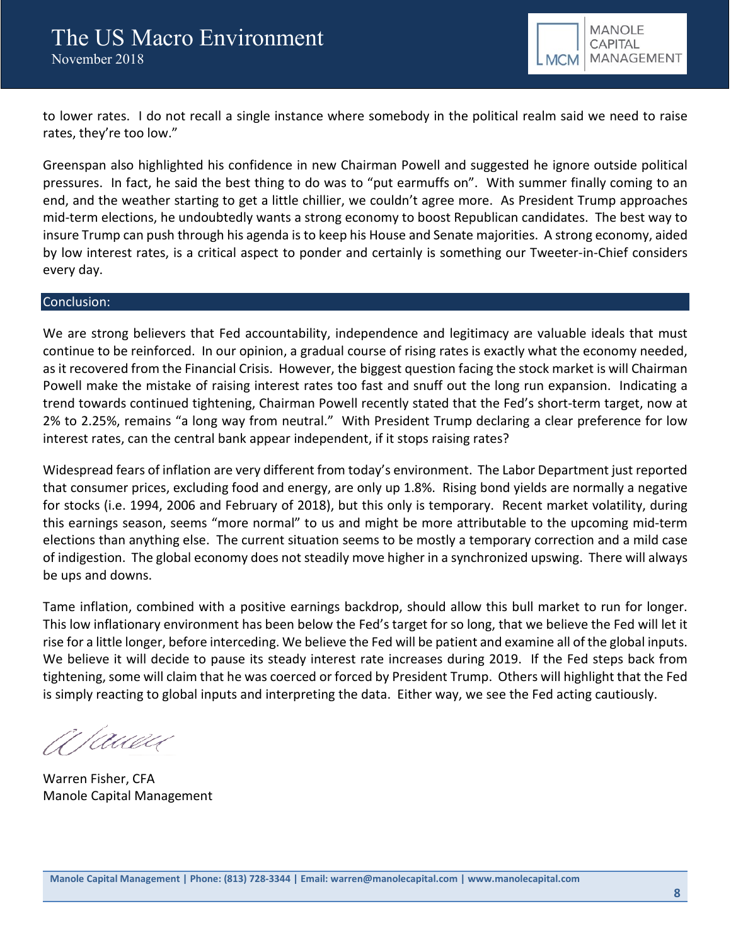

to lower rates. I do not recall a single instance where somebody in the political realm said we need to raise rates, they're too low."

Greenspan also highlighted his confidence in new Chairman Powell and suggested he ignore outside political pressures. In fact, he said the best thing to do was to "put earmuffs on". With summer finally coming to an end, and the weather starting to get a little chillier, we couldn't agree more. As President Trump approaches mid-term elections, he undoubtedly wants a strong economy to boost Republican candidates. The best way to insure Trump can push through his agenda is to keep his House and Senate majorities. A strong economy, aided by low interest rates, is a critical aspect to ponder and certainly is something our Tweeter-in-Chief considers every day.

#### Conclusion:

We are strong believers that Fed accountability, independence and legitimacy are valuable ideals that must continue to be reinforced. In our opinion, a gradual course of rising rates is exactly what the economy needed, as it recovered from the Financial Crisis. However, the biggest question facing the stock market is will Chairman Powell make the mistake of raising interest rates too fast and snuff out the long run expansion. Indicating a trend towards continued tightening, Chairman Powell recently stated that the Fed's short-term target, now at 2% to 2.25%, remains "a long way from neutral." With President Trump declaring a clear preference for low interest rates, can the central bank appear independent, if it stops raising rates?

Widespread fears of inflation are very different from today's environment. The Labor Department just reported that consumer prices, excluding food and energy, are only up 1.8%. Rising bond yields are normally a negative for stocks (i.e. 1994, 2006 and February of 2018), but this only is temporary. Recent market volatility, during this earnings season, seems "more normal" to us and might be more attributable to the upcoming mid-term elections than anything else. The current situation seems to be mostly a temporary correction and a mild case of indigestion. The global economy does not steadily move higher in a synchronized upswing. There will always be ups and downs.

Tame inflation, combined with a positive earnings backdrop, should allow this bull market to run for longer. This low inflationary environment has been below the Fed's target for so long, that we believe the Fed will let it rise for a little longer, before interceding. We believe the Fed will be patient and examine all of the global inputs. We believe it will decide to pause its steady interest rate increases during 2019. If the Fed steps back from tightening, some will claim that he was coerced or forced by President Trump. Others will highlight that the Fed is simply reacting to global inputs and interpreting the data. Either way, we see the Fed acting cautiously.

A Tawai

Warren Fisher, CFA Manole Capital Management